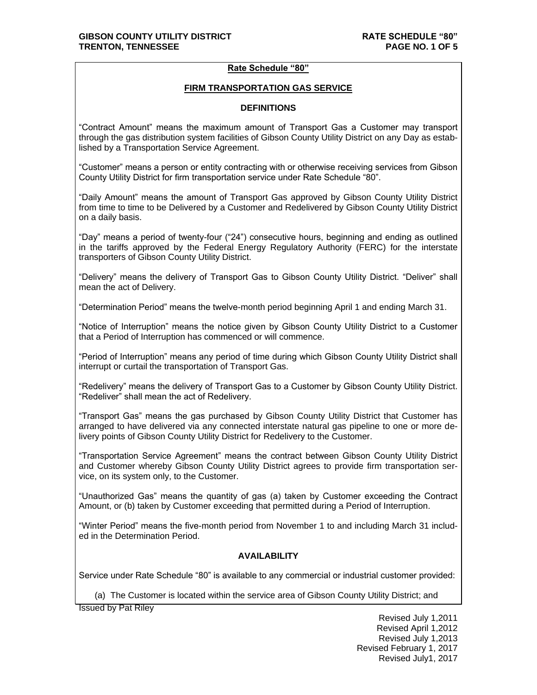### **Rate Schedule "80"**

#### **FIRM TRANSPORTATION GAS SERVICE**

### **DEFINITIONS**

"Contract Amount" means the maximum amount of Transport Gas a Customer may transport through the gas distribution system facilities of Gibson County Utility District on any Day as established by a Transportation Service Agreement.

"Customer" means a person or entity contracting with or otherwise receiving services from Gibson County Utility District for firm transportation service under Rate Schedule "80".

"Daily Amount" means the amount of Transport Gas approved by Gibson County Utility District from time to time to be Delivered by a Customer and Redelivered by Gibson County Utility District on a daily basis.

"Day" means a period of twenty-four ("24") consecutive hours, beginning and ending as outlined in the tariffs approved by the Federal Energy Regulatory Authority (FERC) for the interstate transporters of Gibson County Utility District.

"Delivery" means the delivery of Transport Gas to Gibson County Utility District. "Deliver" shall mean the act of Delivery.

"Determination Period" means the twelve-month period beginning April 1 and ending March 31.

"Notice of Interruption" means the notice given by Gibson County Utility District to a Customer that a Period of Interruption has commenced or will commence.

"Period of Interruption" means any period of time during which Gibson County Utility District shall interrupt or curtail the transportation of Transport Gas.

"Redelivery" means the delivery of Transport Gas to a Customer by Gibson County Utility District. "Redeliver" shall mean the act of Redelivery.

"Transport Gas" means the gas purchased by Gibson County Utility District that Customer has arranged to have delivered via any connected interstate natural gas pipeline to one or more delivery points of Gibson County Utility District for Redelivery to the Customer.

"Transportation Service Agreement" means the contract between Gibson County Utility District and Customer whereby Gibson County Utility District agrees to provide firm transportation service, on its system only, to the Customer.

"Unauthorized Gas" means the quantity of gas (a) taken by Customer exceeding the Contract Amount, or (b) taken by Customer exceeding that permitted during a Period of Interruption.

"Winter Period" means the five-month period from November 1 to and including March 31 included in the Determination Period.

# **AVAILABILITY**

Service under Rate Schedule "80" is available to any commercial or industrial customer provided:

(a) The Customer is located within the service area of Gibson County Utility District; and

Issued by Pat Riley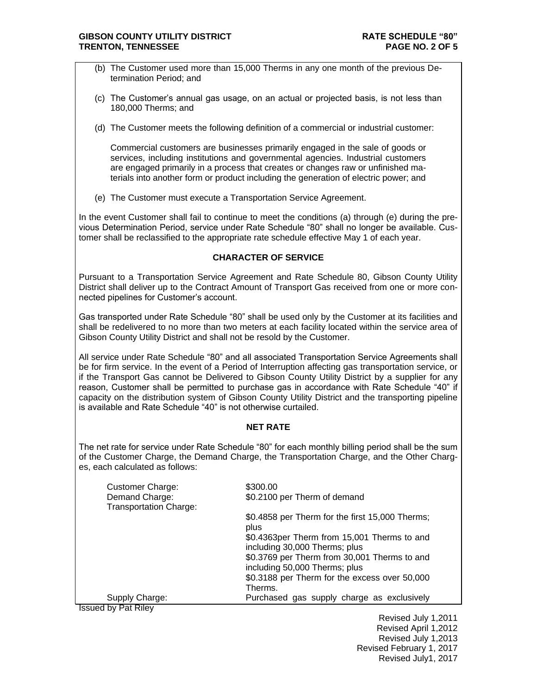- (b) The Customer used more than 15,000 Therms in any one month of the previous Determination Period; and
- (c) The Customer's annual gas usage, on an actual or projected basis, is not less than 180,000 Therms; and
- (d) The Customer meets the following definition of a commercial or industrial customer:

Commercial customers are businesses primarily engaged in the sale of goods or services, including institutions and governmental agencies. Industrial customers are engaged primarily in a process that creates or changes raw or unfinished materials into another form or product including the generation of electric power; and

(e) The Customer must execute a Transportation Service Agreement.

In the event Customer shall fail to continue to meet the conditions (a) through (e) during the previous Determination Period, service under Rate Schedule "80" shall no longer be available. Customer shall be reclassified to the appropriate rate schedule effective May 1 of each year.

### **CHARACTER OF SERVICE**

Pursuant to a Transportation Service Agreement and Rate Schedule 80, Gibson County Utility District shall deliver up to the Contract Amount of Transport Gas received from one or more connected pipelines for Customer's account.

Gas transported under Rate Schedule "80" shall be used only by the Customer at its facilities and shall be redelivered to no more than two meters at each facility located within the service area of Gibson County Utility District and shall not be resold by the Customer.

All service under Rate Schedule "80" and all associated Transportation Service Agreements shall be for firm service. In the event of a Period of Interruption affecting gas transportation service, or if the Transport Gas cannot be Delivered to Gibson County Utility District by a supplier for any reason, Customer shall be permitted to purchase gas in accordance with Rate Schedule "40" if capacity on the distribution system of Gibson County Utility District and the transporting pipeline is available and Rate Schedule "40" is not otherwise curtailed.

# **NET RATE**

The net rate for service under Rate Schedule "80" for each monthly billing period shall be the sum of the Customer Charge, the Demand Charge, the Transportation Charge, and the Other Charges, each calculated as follows:

| <b>Customer Charge:</b>                         | \$300.00                                                                      |
|-------------------------------------------------|-------------------------------------------------------------------------------|
| Demand Charge:<br><b>Transportation Charge:</b> | \$0.2100 per Therm of demand                                                  |
|                                                 | \$0.4858 per Therm for the first 15,000 Therms;<br>plus                       |
|                                                 | \$0.4363per Therm from 15,001 Therms to and<br>including 30,000 Therms; plus  |
|                                                 | \$0.3769 per Therm from 30,001 Therms to and<br>including 50,000 Therms; plus |
|                                                 | \$0.3188 per Therm for the excess over 50,000<br>Therms.                      |
| Supply Charge:                                  | Purchased gas supply charge as exclusively                                    |
| 11. P.L. P.L.                                   |                                                                               |

Issued by Pat Riley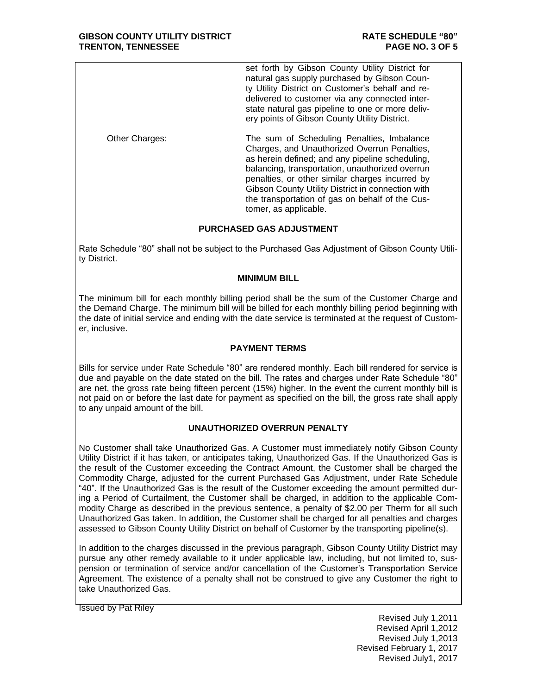set forth by Gibson County Utility District for natural gas supply purchased by Gibson County Utility District on Customer's behalf and redelivered to customer via any connected interstate natural gas pipeline to one or more delivery points of Gibson County Utility District.

Other Charges: The sum of Scheduling Penalties, Imbalance Charges, and Unauthorized Overrun Penalties, as herein defined; and any pipeline scheduling, balancing, transportation, unauthorized overrun penalties, or other similar charges incurred by Gibson County Utility District in connection with the transportation of gas on behalf of the Customer, as applicable.

# **PURCHASED GAS ADJUSTMENT**

Rate Schedule "80" shall not be subject to the Purchased Gas Adjustment of Gibson County Utility District.

#### **MINIMUM BILL**

The minimum bill for each monthly billing period shall be the sum of the Customer Charge and the Demand Charge. The minimum bill will be billed for each monthly billing period beginning with the date of initial service and ending with the date service is terminated at the request of Customer, inclusive.

# **PAYMENT TERMS**

Bills for service under Rate Schedule "80" are rendered monthly. Each bill rendered for service is due and payable on the date stated on the bill. The rates and charges under Rate Schedule "80" are net, the gross rate being fifteen percent (15%) higher. In the event the current monthly bill is not paid on or before the last date for payment as specified on the bill, the gross rate shall apply to any unpaid amount of the bill.

# **UNAUTHORIZED OVERRUN PENALTY**

No Customer shall take Unauthorized Gas. A Customer must immediately notify Gibson County Utility District if it has taken, or anticipates taking, Unauthorized Gas. If the Unauthorized Gas is the result of the Customer exceeding the Contract Amount, the Customer shall be charged the Commodity Charge, adjusted for the current Purchased Gas Adjustment, under Rate Schedule "40". If the Unauthorized Gas is the result of the Customer exceeding the amount permitted during a Period of Curtailment, the Customer shall be charged, in addition to the applicable Commodity Charge as described in the previous sentence, a penalty of \$2.00 per Therm for all such Unauthorized Gas taken. In addition, the Customer shall be charged for all penalties and charges assessed to Gibson County Utility District on behalf of Customer by the transporting pipeline(s).

In addition to the charges discussed in the previous paragraph, Gibson County Utility District may pursue any other remedy available to it under applicable law, including, but not limited to, suspension or termination of service and/or cancellation of the Customer's Transportation Service Agreement. The existence of a penalty shall not be construed to give any Customer the right to take Unauthorized Gas.

Issued by Pat Riley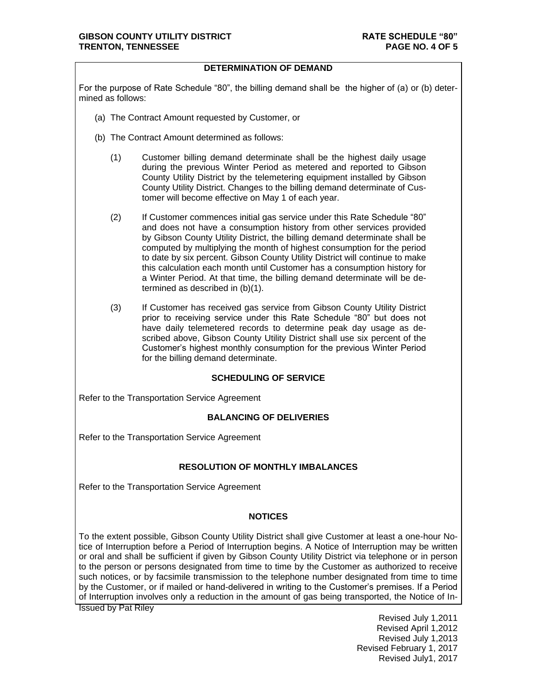### **DETERMINATION OF DEMAND**

For the purpose of Rate Schedule "80", the billing demand shall be the higher of (a) or (b) determined as follows:

- (a) The Contract Amount requested by Customer, or
- (b) The Contract Amount determined as follows:
	- (1) Customer billing demand determinate shall be the highest daily usage during the previous Winter Period as metered and reported to Gibson County Utility District by the telemetering equipment installed by Gibson County Utility District. Changes to the billing demand determinate of Customer will become effective on May 1 of each year.
	- (2) If Customer commences initial gas service under this Rate Schedule "80" and does not have a consumption history from other services provided by Gibson County Utility District, the billing demand determinate shall be computed by multiplying the month of highest consumption for the period to date by six percent. Gibson County Utility District will continue to make this calculation each month until Customer has a consumption history for a Winter Period. At that time, the billing demand determinate will be determined as described in (b)(1).
	- (3) If Customer has received gas service from Gibson County Utility District prior to receiving service under this Rate Schedule "80" but does not have daily telemetered records to determine peak day usage as described above, Gibson County Utility District shall use six percent of the Customer's highest monthly consumption for the previous Winter Period for the billing demand determinate.

#### **SCHEDULING OF SERVICE**

Refer to the Transportation Service Agreement

# **BALANCING OF DELIVERIES**

Refer to the Transportation Service Agreement

#### **RESOLUTION OF MONTHLY IMBALANCES**

Refer to the Transportation Service Agreement

# **NOTICES**

To the extent possible, Gibson County Utility District shall give Customer at least a one-hour Notice of Interruption before a Period of Interruption begins. A Notice of Interruption may be written or oral and shall be sufficient if given by Gibson County Utility District via telephone or in person to the person or persons designated from time to time by the Customer as authorized to receive such notices, or by facsimile transmission to the telephone number designated from time to time by the Customer, or if mailed or hand-delivered in writing to the Customer's premises. If a Period of Interruption involves only a reduction in the amount of gas being transported, the Notice of In-

Issued by Pat Riley